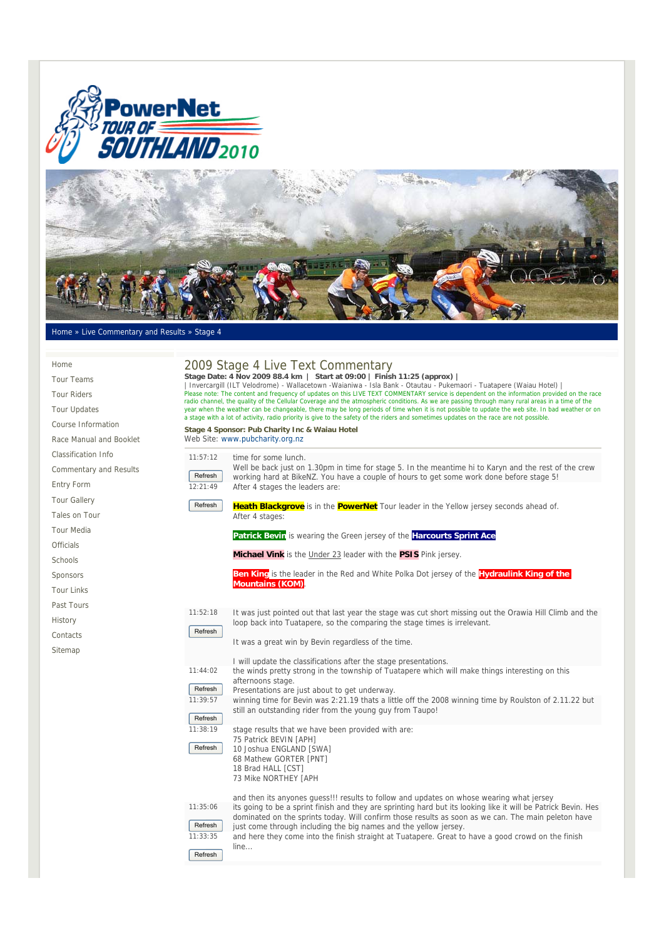



## Home » Live Commentary and Results » Stage 4

| Home                          | 2009 Stage 4 Live Text Commentary                                                                                                                                                                                                                                                                                                                                                                                                                                                                                                                                                                                                                                                                                                                                                                                                               |                                                                                                                                                                                                   |  |  |  |
|-------------------------------|-------------------------------------------------------------------------------------------------------------------------------------------------------------------------------------------------------------------------------------------------------------------------------------------------------------------------------------------------------------------------------------------------------------------------------------------------------------------------------------------------------------------------------------------------------------------------------------------------------------------------------------------------------------------------------------------------------------------------------------------------------------------------------------------------------------------------------------------------|---------------------------------------------------------------------------------------------------------------------------------------------------------------------------------------------------|--|--|--|
| <b>Tour Teams</b>             | Stage Date: 4 Nov 2009 88.4 km   Start at 09:00   Finish 11:25 (approx)<br>Invercargill (ILT Velodrome) - Wallacetown - Waianiwa - Isla Bank - Otautau - Pukemaori - Tuatapere (Waiau Hotel)  <br>Please note: The content and frequency of updates on this LIVE TEXT COMMENTARY service is dependent on the information provided on the race<br>radio channel, the quality of the Cellular Coverage and the atmospheric conditions. As we are passing through many rural areas in a time of the<br>year when the weather can be changeable, there may be long periods of time when it is not possible to update the web site. In bad weather or on<br>a stage with a lot of activity, radio priority is give to the safety of the riders and sometimes updates on the race are not possible.<br>Stage 4 Sponsor: Pub Charity Inc & Waiau Hotel |                                                                                                                                                                                                   |  |  |  |
| <b>Tour Riders</b>            |                                                                                                                                                                                                                                                                                                                                                                                                                                                                                                                                                                                                                                                                                                                                                                                                                                                 |                                                                                                                                                                                                   |  |  |  |
| <b>Tour Updates</b>           |                                                                                                                                                                                                                                                                                                                                                                                                                                                                                                                                                                                                                                                                                                                                                                                                                                                 |                                                                                                                                                                                                   |  |  |  |
| Course Information            |                                                                                                                                                                                                                                                                                                                                                                                                                                                                                                                                                                                                                                                                                                                                                                                                                                                 |                                                                                                                                                                                                   |  |  |  |
| Race Manual and Booklet       |                                                                                                                                                                                                                                                                                                                                                                                                                                                                                                                                                                                                                                                                                                                                                                                                                                                 | Web Site: www.pubcharity.org.nz                                                                                                                                                                   |  |  |  |
| Classification Info           | 11:57:12                                                                                                                                                                                                                                                                                                                                                                                                                                                                                                                                                                                                                                                                                                                                                                                                                                        | time for some lunch.                                                                                                                                                                              |  |  |  |
| <b>Commentary and Results</b> | Refresh                                                                                                                                                                                                                                                                                                                                                                                                                                                                                                                                                                                                                                                                                                                                                                                                                                         | Well be back just on 1.30pm in time for stage 5. In the meantime hi to Karyn and the rest of the crew<br>working hard at BikeNZ. You have a couple of hours to get some work done before stage 5! |  |  |  |
| Entry Form                    | 12:21:49                                                                                                                                                                                                                                                                                                                                                                                                                                                                                                                                                                                                                                                                                                                                                                                                                                        | After 4 stages the leaders are:                                                                                                                                                                   |  |  |  |
| <b>Tour Gallery</b>           | Refresh                                                                                                                                                                                                                                                                                                                                                                                                                                                                                                                                                                                                                                                                                                                                                                                                                                         | Heath Blackgrove is in the PowerNet Tour leader in the Yellow jersey seconds ahead of.                                                                                                            |  |  |  |
| Tales on Tour                 |                                                                                                                                                                                                                                                                                                                                                                                                                                                                                                                                                                                                                                                                                                                                                                                                                                                 | After 4 stages:                                                                                                                                                                                   |  |  |  |
| <b>Tour Media</b>             |                                                                                                                                                                                                                                                                                                                                                                                                                                                                                                                                                                                                                                                                                                                                                                                                                                                 | Patrick Bevin is wearing the Green jersey of the Harcourts Sprint Ace                                                                                                                             |  |  |  |
| Officials                     |                                                                                                                                                                                                                                                                                                                                                                                                                                                                                                                                                                                                                                                                                                                                                                                                                                                 |                                                                                                                                                                                                   |  |  |  |
| Schools                       |                                                                                                                                                                                                                                                                                                                                                                                                                                                                                                                                                                                                                                                                                                                                                                                                                                                 | Michael Vink is the Under 23 leader with the PSIS Pink jersey.                                                                                                                                    |  |  |  |
| Sponsors                      |                                                                                                                                                                                                                                                                                                                                                                                                                                                                                                                                                                                                                                                                                                                                                                                                                                                 | <b>Ben King</b> is the leader in the Red and White Polka Dot jersey of the <b>Hydraulink King of the</b>                                                                                          |  |  |  |
| <b>Tour Links</b>             |                                                                                                                                                                                                                                                                                                                                                                                                                                                                                                                                                                                                                                                                                                                                                                                                                                                 | <b>Mountains (KOM)</b>                                                                                                                                                                            |  |  |  |
| Past Tours                    |                                                                                                                                                                                                                                                                                                                                                                                                                                                                                                                                                                                                                                                                                                                                                                                                                                                 |                                                                                                                                                                                                   |  |  |  |
| History                       | 11:52:18                                                                                                                                                                                                                                                                                                                                                                                                                                                                                                                                                                                                                                                                                                                                                                                                                                        | It was just pointed out that last year the stage was cut short missing out the Orawia Hill Climb and the<br>loop back into Tuatapere, so the comparing the stage times is irrelevant.             |  |  |  |
| Contacts                      | Refresh                                                                                                                                                                                                                                                                                                                                                                                                                                                                                                                                                                                                                                                                                                                                                                                                                                         |                                                                                                                                                                                                   |  |  |  |
| Sitemap                       |                                                                                                                                                                                                                                                                                                                                                                                                                                                                                                                                                                                                                                                                                                                                                                                                                                                 | It was a great win by Bevin regardless of the time.                                                                                                                                               |  |  |  |
|                               |                                                                                                                                                                                                                                                                                                                                                                                                                                                                                                                                                                                                                                                                                                                                                                                                                                                 | I will update the classifications after the stage presentations.                                                                                                                                  |  |  |  |
|                               | 11:44:02                                                                                                                                                                                                                                                                                                                                                                                                                                                                                                                                                                                                                                                                                                                                                                                                                                        | the winds pretty strong in the township of Tuatapere which will make things interesting on this<br>afternoons stage.                                                                              |  |  |  |
|                               | Refresh                                                                                                                                                                                                                                                                                                                                                                                                                                                                                                                                                                                                                                                                                                                                                                                                                                         | Presentations are just about to get underway.                                                                                                                                                     |  |  |  |
|                               | 11:39:57                                                                                                                                                                                                                                                                                                                                                                                                                                                                                                                                                                                                                                                                                                                                                                                                                                        | winning time for Bevin was 2:21.19 thats a little off the 2008 winning time by Roulston of 2.11.22 but<br>still an outstanding rider from the young guy from Taupo!                               |  |  |  |
|                               | Refresh                                                                                                                                                                                                                                                                                                                                                                                                                                                                                                                                                                                                                                                                                                                                                                                                                                         |                                                                                                                                                                                                   |  |  |  |
|                               | 11:38:19<br>Refresh                                                                                                                                                                                                                                                                                                                                                                                                                                                                                                                                                                                                                                                                                                                                                                                                                             | stage results that we have been provided with are:<br>75 Patrick BEVIN [APH]<br>10 Joshua ENGLAND [SWA]                                                                                           |  |  |  |
|                               |                                                                                                                                                                                                                                                                                                                                                                                                                                                                                                                                                                                                                                                                                                                                                                                                                                                 | 68 Mathew GORTER [PNT]                                                                                                                                                                            |  |  |  |

18 Brad HALL [CST]

73 Mike NORTHEY [APH and then its anyones guess!!! results to follow and updates on whose wearing what jersey 11:35:06 Refresh its going to be a sprint finish and they are sprinting hard but its looking like it will be Patrick Bevin. Hes dominated on the sprints today. Will confirm those results as soon as we can. The main peleton have just come through including the big names and the yellow jersey. 11:33:35 Refresh and here they come into the finish straight at Tuatapere. Great to have a good crowd on the finish line...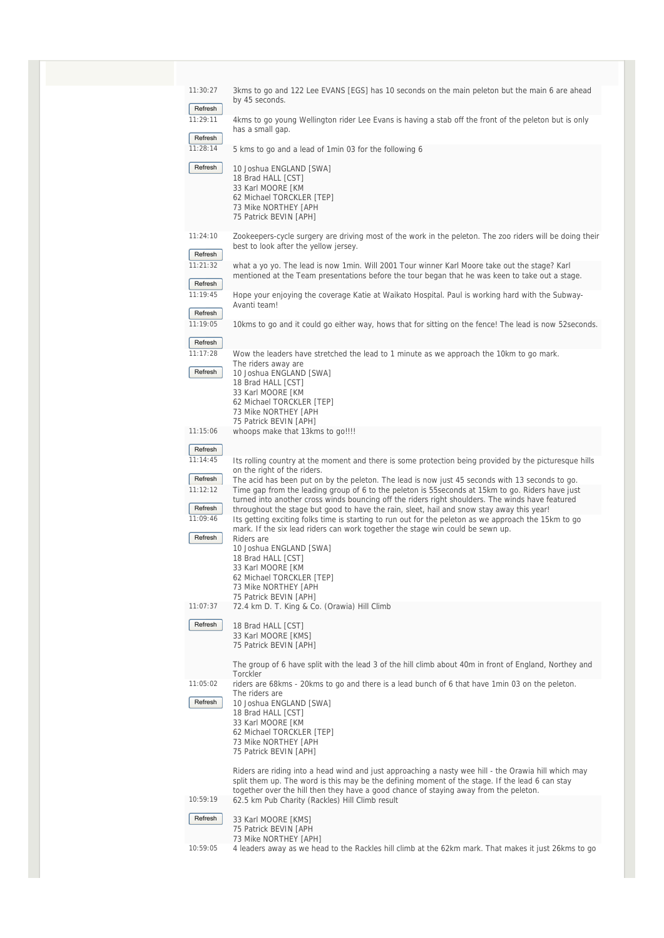| 11:30:27            | 3kms to go and 122 Lee EVANS [EGS] has 10 seconds on the main peleton but the main 6 are ahead                                                                                                          |
|---------------------|---------------------------------------------------------------------------------------------------------------------------------------------------------------------------------------------------------|
| Refresh             | by 45 seconds.                                                                                                                                                                                          |
| 11:29:11            | 4kms to go young Wellington rider Lee Evans is having a stab off the front of the peleton but is only<br>has a small gap.                                                                               |
| Refresh<br>11:28:14 |                                                                                                                                                                                                         |
|                     | 5 kms to go and a lead of 1 min 03 for the following 6                                                                                                                                                  |
| Refresh             | 10 Joshua ENGLAND [SWA]<br>18 Brad HALL [CST]                                                                                                                                                           |
|                     | 33 Karl MOORE [KM                                                                                                                                                                                       |
|                     | 62 Michael TORCKLER [TEP]<br>73 Mike NORTHEY [APH                                                                                                                                                       |
|                     | 75 Patrick BEVIN [APH]                                                                                                                                                                                  |
| 11:24:10            | Zookeepers-cycle surgery are driving most of the work in the peleton. The zoo riders will be doing their                                                                                                |
| Refresh             | best to look after the yellow jersey.                                                                                                                                                                   |
| 11:21:32            | what a yo yo. The lead is now 1 min. Will 2001 Tour winner Karl Moore take out the stage? Karl<br>mentioned at the Team presentations before the tour began that he was keen to take out a stage.       |
| Refresh             |                                                                                                                                                                                                         |
| 11:19:45            | Hope your enjoying the coverage Katie at Waikato Hospital. Paul is working hard with the Subway-<br>Avanti team!                                                                                        |
| Refresh<br>11:19:05 |                                                                                                                                                                                                         |
|                     | 10kms to go and it could go either way, hows that for sitting on the fence! The lead is now 52 seconds.                                                                                                 |
| Refresh<br>11:17:28 | Wow the leaders have stretched the lead to 1 minute as we approach the 10km to go mark.                                                                                                                 |
| Refresh             | The riders away are                                                                                                                                                                                     |
|                     | 10 Joshua ENGLAND [SWA]<br>18 Brad HALL [CST]                                                                                                                                                           |
|                     | 33 Karl MOORE [KM<br>62 Michael TORCKLER [TEP]                                                                                                                                                          |
|                     | 73 Mike NORTHEY [APH                                                                                                                                                                                    |
| 11:15:06            | 75 Patrick BEVIN [APH]<br>whoops make that 13kms to go!!!!                                                                                                                                              |
| Refresh             |                                                                                                                                                                                                         |
| 11:14:45            | Its rolling country at the moment and there is some protection being provided by the picturesque hills                                                                                                  |
| Refresh             | on the right of the riders.<br>The acid has been put on by the peleton. The lead is now just 45 seconds with 13 seconds to go.                                                                          |
| 11:12:12            | Time gap from the leading group of 6 to the peleton is 55 seconds at 15 km to go. Riders have just                                                                                                      |
| Refresh             | turned into another cross winds bouncing off the riders right shoulders. The winds have featured<br>throughout the stage but good to have the rain, sleet, hail and snow stay away this year!           |
| 11:09:46            | Its getting exciting folks time is starting to run out for the peleton as we approach the 15km to go<br>mark. If the six lead riders can work together the stage win could be sewn up.                  |
| Refresh             | Riders are                                                                                                                                                                                              |
|                     | 10 Joshua ENGLAND [SWA]<br>18 Brad HALL [CST]                                                                                                                                                           |
|                     | 33 Karl MOORE [KM<br>62 Michael TORCKLER [TEP]                                                                                                                                                          |
|                     | 73 Mike NORTHEY [APH                                                                                                                                                                                    |
| 11:07:37            | 75 Patrick BEVIN [APH]<br>72.4 km D. T. King & Co. (Orawia) Hill Climb                                                                                                                                  |
| Refresh             | 18 Brad HALL [CST]                                                                                                                                                                                      |
|                     | 33 Karl MOORE [KMS]                                                                                                                                                                                     |
|                     | 75 Patrick BEVIN [APH]                                                                                                                                                                                  |
|                     | The group of 6 have split with the lead 3 of the hill climb about 40m in front of England, Northey and<br>Torckler                                                                                      |
| 11:05:02            | riders are 68kms - 20kms to go and there is a lead bunch of 6 that have 1min 03 on the peleton.                                                                                                         |
| Refresh             | The riders are<br>10 Joshua ENGLAND [SWA]                                                                                                                                                               |
|                     | 18 Brad HALL [CST]<br>33 Karl MOORE [KM                                                                                                                                                                 |
|                     | 62 Michael TORCKLER [TEP]                                                                                                                                                                               |
|                     | 73 Mike NORTHEY [APH<br>75 Patrick BEVIN [APH]                                                                                                                                                          |
|                     |                                                                                                                                                                                                         |
|                     | Riders are riding into a head wind and just approaching a nasty wee hill - the Orawia hill which may<br>split them up. The word is this may be the defining moment of the stage. If the lead 6 can stay |
| 10:59:19            | together over the hill then they have a good chance of staying away from the peleton.<br>62.5 km Pub Charity (Rackles) Hill Climb result                                                                |
| Refresh             |                                                                                                                                                                                                         |
|                     | 33 Karl MOORE [KMS]<br>75 Patrick BEVIN [APH                                                                                                                                                            |
| 10:59:05            | 73 Mike NORTHEY [APH]<br>4 leaders away as we head to the Rackles hill climb at the 62km mark. That makes it just 26kms to go                                                                           |
|                     |                                                                                                                                                                                                         |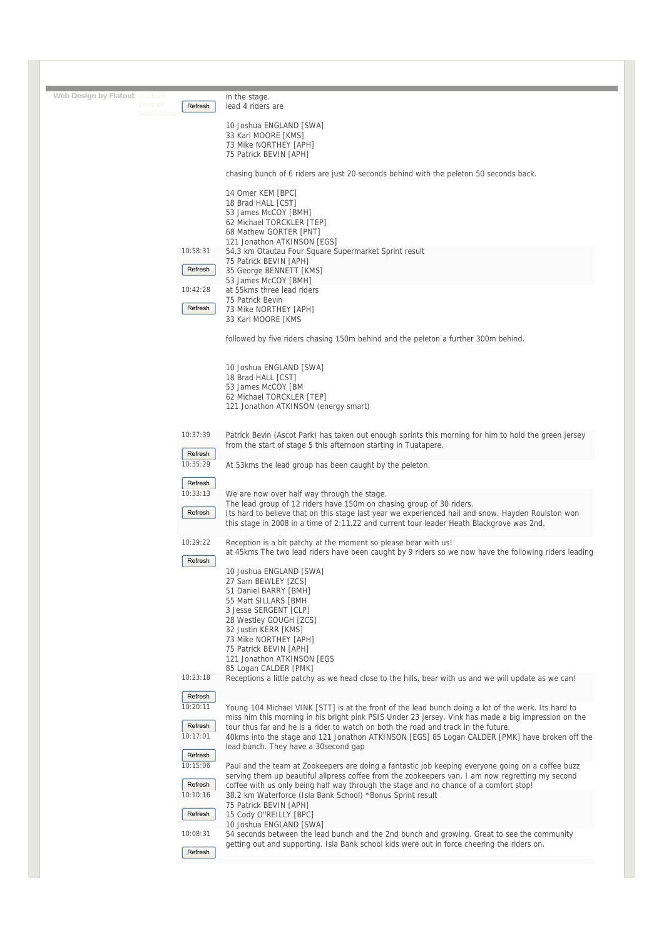| Web Design by Flatout © 2009<br>Tour of<br>Southland | Refresh             | in the stage.<br>lead 4 riders are                                                                                                                                                                                        |
|------------------------------------------------------|---------------------|---------------------------------------------------------------------------------------------------------------------------------------------------------------------------------------------------------------------------|
|                                                      |                     | 10 Joshua ENGLAND [SWA]<br>33 Karl MOORE [KMS]<br>73 Mike NORTHEY [APH]                                                                                                                                                   |
|                                                      |                     | 75 Patrick BEVIN [APH]                                                                                                                                                                                                    |
|                                                      |                     | chasing bunch of 6 riders are just 20 seconds behind with the peleton 50 seconds back.                                                                                                                                    |
|                                                      |                     | 14 Omer KEM [BPC]<br>18 Brad HALL [CST]                                                                                                                                                                                   |
|                                                      |                     | 53 James McCOY [BMH]<br>62 Michael TORCKLER [TEP]                                                                                                                                                                         |
|                                                      |                     | 68 Mathew GORTER [PNT]<br>121 Jonathon ATKINSON [EGS]                                                                                                                                                                     |
|                                                      | 10:58:31            | 54.3 km Otautau Four Square Supermarket Sprint result                                                                                                                                                                     |
|                                                      | Refresh             | 75 Patrick BEVIN [APH]<br>35 George BENNETT [KMS]                                                                                                                                                                         |
|                                                      | 10:42:28            | 53 James McCOY [BMH]<br>at 55kms three lead riders                                                                                                                                                                        |
|                                                      | Refresh             | 75 Patrick Bevin<br>73 Mike NORTHEY [APH]<br>33 Karl MOORE [KMS                                                                                                                                                           |
|                                                      |                     | followed by five riders chasing 150m behind and the peleton a further 300m behind.                                                                                                                                        |
|                                                      |                     | 10 Joshua ENGLAND [SWA]                                                                                                                                                                                                   |
|                                                      |                     | 18 Brad HALL [CST]<br>53 James McCOY [BM                                                                                                                                                                                  |
|                                                      |                     | 62 Michael TORCKLER [TEP]<br>121 Jonathon ATKINSON (energy smart)                                                                                                                                                         |
|                                                      |                     |                                                                                                                                                                                                                           |
|                                                      | 10:37:39<br>Refresh | Patrick Bevin (Ascot Park) has taken out enough sprints this morning for him to hold the green jersey<br>from the start of stage 5 this afternoon starting in Tuatapere.                                                  |
|                                                      | 10:35:29            | At 53kms the lead group has been caught by the peleton.                                                                                                                                                                   |
|                                                      | Refresh<br>10:33:13 |                                                                                                                                                                                                                           |
|                                                      | Refresh             | We are now over half way through the stage.<br>The lead group of 12 riders have 150m on chasing group of 30 riders.<br>Its hard to believe that on this stage last year we experienced hail and snow. Hayden Roulston won |
|                                                      |                     | this stage in 2008 in a time of 2:11.22 and current tour leader Heath Blackgrove was 2nd.                                                                                                                                 |
|                                                      | 10:29:22<br>Refresh | Reception is a bit patchy at the moment so please bear with us!<br>at 45kms The two lead riders have been caught by 9 riders so we now have the following riders leading                                                  |
|                                                      |                     | 10 Joshua ENGLAND [SWA]<br>27 Sam BEWLEY [ZCS]                                                                                                                                                                            |
|                                                      |                     | 51 Daniel BARRY [BMH]<br>55 Matt SILLARS [BMH                                                                                                                                                                             |
|                                                      |                     | 3 Jesse SERGENT [CLP]<br>28 Westley GOUGH [ZCS]                                                                                                                                                                           |
|                                                      |                     | 32 Justin KERR [KMS]<br>73 Mike NORTHEY [APH]                                                                                                                                                                             |
|                                                      |                     | 75 Patrick BEVIN [APH]<br>121 Jonathon ATKINSON [EGS]                                                                                                                                                                     |
|                                                      | 10:23:18            | 85 Logan CALDER [PMK]<br>Receptions a little patchy as we head close to the hills, bear with us and we will update as we can!                                                                                             |
|                                                      | Refresh             |                                                                                                                                                                                                                           |
|                                                      | 10:20:11            | Young 104 Michael VINK [STT] is at the front of the lead bunch doing a lot of the work. Its hard to<br>miss him this morning in his bright pink PSIS Under 23 jersey. Vink has made a big impression on the               |
|                                                      | Refresh<br>10:17:01 | tour thus far and he is a rider to watch on both the road and track in the future.                                                                                                                                        |
|                                                      | Refresh             | 40kms into the stage and 121 Jonathon ATKINSON [EGS] 85 Logan CALDER [PMK] have broken off the<br>lead bunch. They have a 30 second gap                                                                                   |
|                                                      | 10:15:06            | Paul and the team at Zookeepers are doing a fantastic job keeping everyone going on a coffee buzz                                                                                                                         |
|                                                      | Refresh             | serving them up beautiful allpress coffee from the zookeepers van. I am now regretting my second<br>coffee with us only being half way through the stage and no chance of a comfort stop!                                 |
|                                                      | 10:10:16            | 38.2 km Waterforce (Isla Bank School) *Bonus Sprint result<br>75 Patrick BEVIN [APH]                                                                                                                                      |
|                                                      | Refresh             | 15 Cody O"REILLY [BPC]<br>10 Joshua ENGLAND [SWA]                                                                                                                                                                         |
|                                                      | 10:08:31            | 54 seconds between the lead bunch and the 2nd bunch and growing. Great to see the community<br>getting out and supporting. Isla Bank school kids were out in force cheering the riders on.                                |
|                                                      | Refresh             |                                                                                                                                                                                                                           |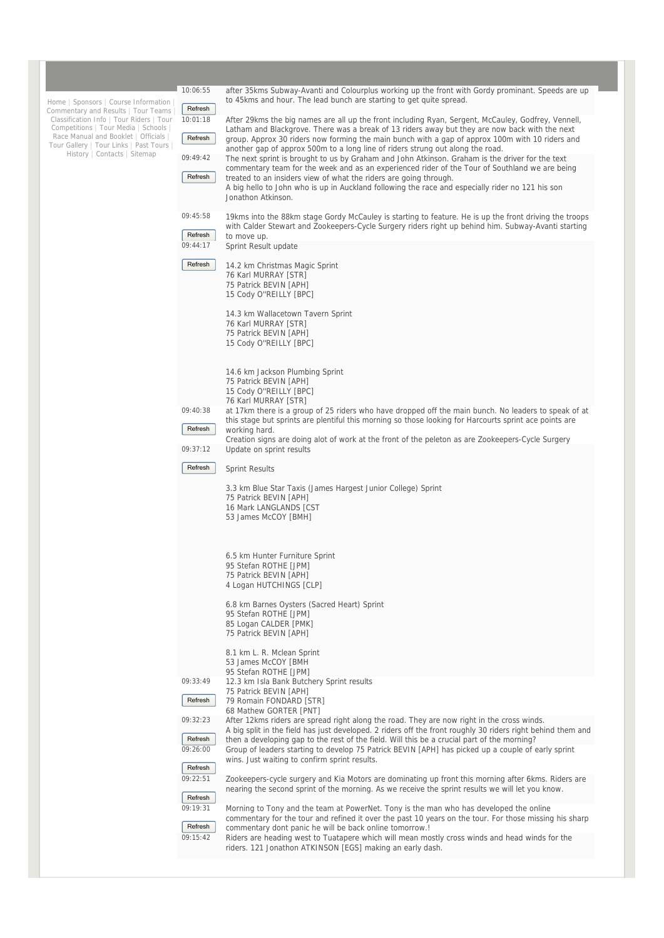|                                                                                 | 10:06:55                       | after 35kms Subway-Avanti and Colourplus working up the front with Gordy prominant. Speeds are up                                                                                                                                                  |
|---------------------------------------------------------------------------------|--------------------------------|----------------------------------------------------------------------------------------------------------------------------------------------------------------------------------------------------------------------------------------------------|
| Home   Sponsors   Course Information                                            |                                | to 45kms and hour. The lead bunch are starting to get quite spread.                                                                                                                                                                                |
| Commentary and Results   Tour Teams<br>Classification Info   Tour Riders   Tour | Refresh<br>10:01:18            | After 29kms the big names are all up the front including Ryan, Sergent, McCauley, Godfrey, Vennell,                                                                                                                                                |
| Competitions   Tour Media   Schools  <br>Race Manual and Booklet   Officials    | Refresh                        | Latham and Blackgrove. There was a break of 13 riders away but they are now back with the next<br>group. Approx 30 riders now forming the main bunch with a gap of approx 100m with 10 riders and                                                  |
| Tour Gallery   Tour Links   Past Tours  <br>History   Contacts   Sitemap        |                                | another gap of approx 500m to a long line of riders strung out along the road.                                                                                                                                                                     |
|                                                                                 | 09:49:42                       | The next sprint is brought to us by Graham and John Atkinson. Graham is the driver for the text<br>commentary team for the week and as an experienced rider of the Tour of Southland we are being                                                  |
|                                                                                 | Refresh                        | treated to an insiders view of what the riders are going through.<br>A big hello to John who is up in Auckland following the race and especially rider no 121 his son<br>Jonathon Atkinson.                                                        |
|                                                                                 | 09:45:58                       | 19kms into the 88km stage Gordy McCauley is starting to feature. He is up the front driving the troops<br>with Calder Stewart and Zookeepers-Cycle Surgery riders right up behind him. Subway-Avanti starting                                      |
|                                                                                 | Refresh                        | to move up.                                                                                                                                                                                                                                        |
|                                                                                 | 09:44:17                       | Sprint Result update                                                                                                                                                                                                                               |
|                                                                                 | Refresh                        | 14.2 km Christmas Magic Sprint<br>76 Karl MURRAY [STR]<br>75 Patrick BEVIN [APH]<br>15 Cody O"REILLY [BPC]                                                                                                                                         |
|                                                                                 |                                | 14.3 km Wallacetown Tavern Sprint<br>76 Karl MURRAY [STR]<br>75 Patrick BEVIN [APH]<br>15 Cody O"REILLY [BPC]                                                                                                                                      |
|                                                                                 |                                | 14.6 km Jackson Plumbing Sprint<br>75 Patrick BEVIN [APH]<br>15 Cody O"REILLY [BPC]                                                                                                                                                                |
|                                                                                 | 09:40:38                       | 76 Karl MURRAY [STR]<br>at 17km there is a group of 25 riders who have dropped off the main bunch. No leaders to speak of at                                                                                                                       |
|                                                                                 |                                | this stage but sprints are plentiful this morning so those looking for Harcourts sprint ace points are                                                                                                                                             |
|                                                                                 | Refresh                        | working hard.<br>Creation signs are doing alot of work at the front of the peleton as are Zookeepers-Cycle Surgery                                                                                                                                 |
|                                                                                 | 09:37:12                       | Update on sprint results                                                                                                                                                                                                                           |
|                                                                                 | Refresh                        | <b>Sprint Results</b>                                                                                                                                                                                                                              |
|                                                                                 |                                | 3.3 km Blue Star Taxis (James Hargest Junior College) Sprint<br>75 Patrick BEVIN [APH]<br>16 Mark LANGLANDS [CST<br>53 James McCOY [BMH]                                                                                                           |
|                                                                                 |                                |                                                                                                                                                                                                                                                    |
|                                                                                 |                                | 6.5 km Hunter Furniture Sprint<br>95 Stefan ROTHE [JPM]                                                                                                                                                                                            |
|                                                                                 |                                | 75 Patrick BEVIN [APH]                                                                                                                                                                                                                             |
|                                                                                 |                                | 4 Logan HUTCHINGS [CLP]                                                                                                                                                                                                                            |
|                                                                                 |                                | 6.8 km Barnes Oysters (Sacred Heart) Sprint<br>95 Stefan ROTHE [JPM]<br>85 Logan CALDER [PMK]<br>75 Patrick BEVIN [APH]                                                                                                                            |
|                                                                                 |                                |                                                                                                                                                                                                                                                    |
|                                                                                 |                                | 8.1 km L. R. Mclean Sprint<br>53 James McCOY [BMH                                                                                                                                                                                                  |
|                                                                                 |                                | 95 Stefan ROTHE [JPM]                                                                                                                                                                                                                              |
|                                                                                 | 09:33:49                       | 12.3 km Isla Bank Butchery Sprint results<br>75 Patrick BEVIN [APH]                                                                                                                                                                                |
|                                                                                 | Refresh                        | 79 Romain FONDARD [STR]<br>68 Mathew GORTER [PNT]                                                                                                                                                                                                  |
|                                                                                 | 09:32:23                       | After 12kms riders are spread right along the road. They are now right in the cross winds.<br>A big split in the field has just developed. 2 riders off the front roughly 30 riders right behind them and                                          |
|                                                                                 | Refresh<br>09:26:00            | then a developing gap to the rest of the field. Will this be a crucial part of the morning?<br>Group of leaders starting to develop 75 Patrick BEVIN [APH] has picked up a couple of early sprint<br>wins. Just waiting to confirm sprint results. |
|                                                                                 | Refresh<br>09:22:51            | Zookeepers-cycle surgery and Kia Motors are dominating up front this morning after 6kms. Riders are<br>nearing the second sprint of the morning. As we receive the sprint results we will let you know.                                            |
|                                                                                 | Refresh<br>09:19:31<br>Refresh | Morning to Tony and the team at PowerNet. Tony is the man who has developed the online<br>commentary for the tour and refined it over the past 10 years on the tour. For those missing his sharp                                                   |
|                                                                                 | 09:15:42                       | commentary dont panic he will be back online tomorrow.!<br>Riders are heading west to Tuatapere which will mean mostly cross winds and head winds for the<br>riders. 121 Jonathon ATKINSON [EGS] making an early dash.                             |
|                                                                                 |                                |                                                                                                                                                                                                                                                    |

I